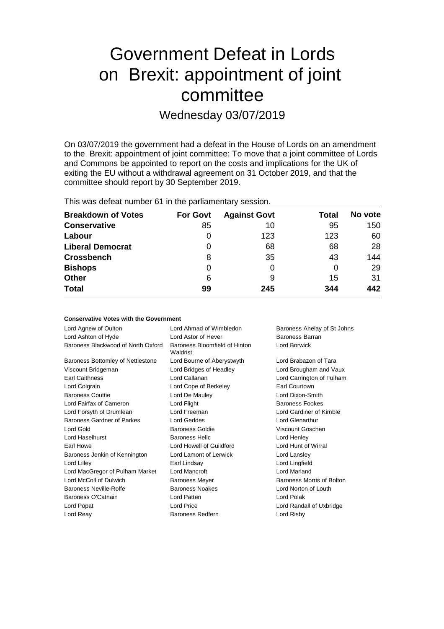# Government Defeat in Lords on Brexit: appointment of joint committee

Wednesday 03/07/2019

On 03/07/2019 the government had a defeat in the House of Lords on an amendment to the Brexit: appointment of joint committee: To move that a joint committee of Lords and Commons be appointed to report on the costs and implications for the UK of exiting the EU without a withdrawal agreement on 31 October 2019, and that the committee should report by 30 September 2019.

| <b>Breakdown of Votes</b> | <b>For Govt</b> | <b>Against Govt</b> | Total | No vote |
|---------------------------|-----------------|---------------------|-------|---------|
| <b>Conservative</b>       | 85              | 10                  | 95    | 150     |
| Labour                    | 0               | 123                 | 123   | 60      |
| <b>Liberal Democrat</b>   | 0               | 68                  | 68    | 28      |
| <b>Crossbench</b>         | 8               | 35                  | 43    | 144     |
| <b>Bishops</b>            | 0               | O                   | 0     | 29      |
| <b>Other</b>              | 6               | 9                   | 15    | 31      |
| <b>Total</b>              | 99              | 245                 | 344   | 442     |

| <b>Conservative Votes with the Government</b> |  |  |  |  |  |
|-----------------------------------------------|--|--|--|--|--|
|-----------------------------------------------|--|--|--|--|--|

| Lord Agnew of Oulton               | Lord Ahmad of Wimbledon                   | Baroness Anelay of St Johns |
|------------------------------------|-------------------------------------------|-----------------------------|
| Lord Ashton of Hyde                | Lord Astor of Hever                       | Baroness Barran             |
| Baroness Blackwood of North Oxford | Baroness Bloomfield of Hinton<br>Waldrist | Lord Borwick                |
| Baroness Bottomley of Nettlestone  | Lord Bourne of Aberystwyth                | Lord Brabazon of Tara       |
| Viscount Bridgeman                 | Lord Bridges of Headley                   | Lord Brougham and Vaux      |
| <b>Earl Caithness</b>              | Lord Callanan                             | Lord Carrington of Fulham   |
| Lord Colgrain                      | Lord Cope of Berkeley                     | Earl Courtown               |
| <b>Baroness Couttie</b>            | Lord De Mauley                            | Lord Dixon-Smith            |
| Lord Fairfax of Cameron            | Lord Flight                               | <b>Baroness Fookes</b>      |
| Lord Forsyth of Drumlean           | Lord Freeman                              | Lord Gardiner of Kimble     |
| Baroness Gardner of Parkes         | Lord Geddes                               | Lord Glenarthur             |
| Lord Gold                          | Baroness Goldie                           | Viscount Goschen            |
| Lord Haselhurst                    | <b>Baroness Helic</b>                     | Lord Henley                 |
| Earl Howe                          | Lord Howell of Guildford                  | Lord Hunt of Wirral         |
| Baroness Jenkin of Kennington      | Lord Lamont of Lerwick                    | Lord Lansley                |
| Lord Lilley                        | Earl Lindsay                              | Lord Lingfield              |
| Lord MacGregor of Pulham Market    | Lord Mancroft                             | <b>Lord Marland</b>         |
| Lord McColl of Dulwich             | <b>Baroness Meyer</b>                     | Baroness Morris of Bolton   |
| Baroness Neville-Rolfe             | Baroness Noakes                           | Lord Norton of Louth        |
| Baroness O'Cathain                 | Lord Patten                               | Lord Polak                  |
| Lord Popat                         | <b>Lord Price</b>                         | Lord Randall of Uxbridge    |
| Lord Reay                          | <b>Baroness Redfern</b>                   | Lord Risby                  |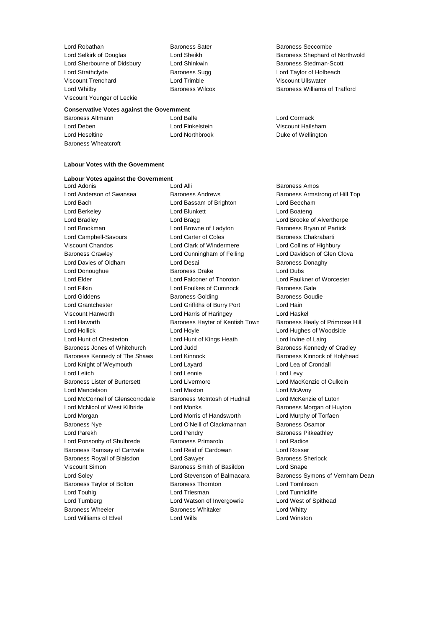Lord Robathan **Baroness Sater** Baroness Seccombe<br>
Lord Selkirk of Douglas<br>
Lord Sheikh Baroness Shephard of Lord Sherbourne of Didsbury **Lord Shinkwin** Baroness Stedman-Scott Lord Strathclyde **Baroness Sugg Lord Taylor of Holbeach** Baroness Sugg Lord Taylor of Holbeach Viscount Trenchard Lord Trimble Viscount Ullswater Viscount Younger of Leckie

#### **Conservative Votes against the Government**

Baroness Altmann Lord Balfe Lord Cormack Lord Deben Lord Finkelstein Viscount Hailsham Lord Heseltine **Lord Northbrook** Duke of Wellington Baroness Wheatcroft

#### **Labour Votes with the Government**

#### **Labour Votes against the Government**

Lord Anderson of Swansea **Baroness Andrews** Baroness Armstrong of Hill Top Lord Bach Lord Bassam of Brighton Lord Beecham Lord Berkeley Lord Blunkett Lord Boateng Lord Bradley **Lord Bragg Lord Brooke of Alverthorpe Lord Brooke of Alverthorpe** Lord Brookman **Lord Browne of Ladyton** Baroness Bryan of Partick Lord Campbell-Savours **Lord Carter of Coles** Baroness Chakrabarti Viscount Chandos Lord Clark of Windermere Lord Collins of Highbury Baroness Crawley Lord Cunningham of Felling Lord Davidson of Glen Clova Lord Davies of Oldham **Lord Desai** Baroness Donaghy Lord Donoughue **Baroness Drake** Lord Dubs Lord Elder Lord Falconer of Thoroton Lord Faulkner of Worcester Lord Filkin **Lord Foulkes of Cumnock** Baroness Gale Lord Giddens **Baroness Golding** Baroness Golding **Baroness Goudie** Lord Grantchester **Lord Griffiths of Burry Port** Lord Hain Viscount Hanworth Lord Harris of Haringey Lord Haskel Lord Haworth **Baroness Hayter of Kentish Town** Baroness Healy of Primrose Hill Lord Hollick Lord Hoyle Lord Hughes of Woodside Lord Hunt of Chesterton Lord Hunt of Kings Heath Lord Irvine of Lairg Baroness Jones of Whitchurch Lord Judd Baroness Kennedy of Cradley Baroness Kennedy of The Shaws Lord Kinnock Baroness Kinnock of Holyhead Lord Knight of Weymouth Lord Layard Lord Lea of Crondall Lord Leitch Lord Lennie Lord Levy Baroness Lister of Burtersett Lord Livermore Lord MacKenzie of Culkein Lord Mandelson Lord Maxton Lord McAvoy Lord McConnell of Glenscorrodale Baroness McIntosh of Hudnall Lord McKenzie of Luton Lord McNicol of West Kilbride Lord Monks **Baroness Morgan of Huyton** Lord Morgan Lord Morris of Handsworth Lord Murphy of Torfaen Baroness Nye **Lord O'Neill of Clackmannan** Baroness Osamor Lord Parekh **Lord Pendry Communist Pendry Accord Pendry** Baroness Pitkeathley Lord Ponsonby of Shulbrede **Baroness Primarolo Lord Radice** Baroness Ramsay of Cartvale Lord Reid of Cardowan Lord Rosser Baroness Royall of Blaisdon Lord Sawyer **Baroness Sherlock** Baroness Sherlock Viscount Simon Baroness Smith of Basildon Lord Snape Baroness Taylor of Bolton **Baroness Thornton** Lord Tomlinson Lord Touhig **Lord Triesman** Lord Triesman **Lord Tunnicliffe** Lord Turnberg Lord Watson of Invergowrie Lord West of Spithead Baroness Wheeler **Baroness Whitaker** Lord Whitty Lord Williams of Elvel **Lord Wills** Lord Wills **Lord Winston** 

Lord Adonis Lord Alli Baroness Amos

Lord Selkirk of Douglas Lord Sheikh Baroness Shephard of Northwold Lord Whitby Baroness Wilcox Baroness Williams of Trafford

Lord Soley **Lord Stevenson of Balmacara** Baroness Symons of Vernham Dean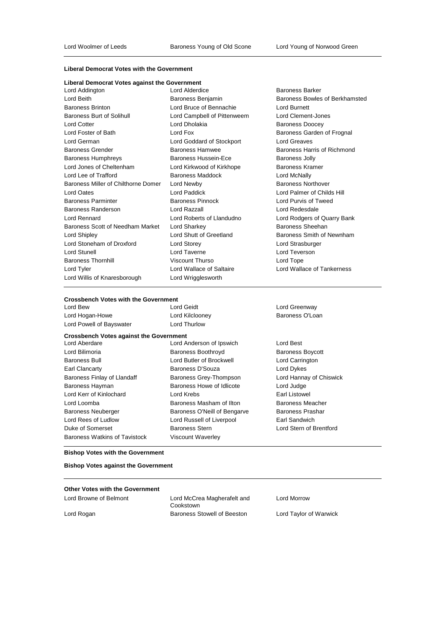### **Liberal Democrat Votes with the Government**

| Liberal Democrat Votes against the Government |  |  |
|-----------------------------------------------|--|--|
|-----------------------------------------------|--|--|

| Lord Addington                      | Lo  |
|-------------------------------------|-----|
| Lord Beith                          | Ba  |
| <b>Baroness Brinton</b>             | Lo  |
| <b>Baroness Burt of Solihull</b>    | Lo  |
| <b>Lord Cotter</b>                  | Lo  |
| Lord Foster of Bath                 | Lo  |
| Lord German                         | Lo  |
| <b>Baroness Grender</b>             | Ba  |
| <b>Baroness Humphreys</b>           | Ba  |
| Lord Jones of Cheltenham            | Lo  |
| Lord Lee of Trafford                | Ba  |
| Baroness Miller of Chilthorne Domer | Lo  |
| Lord Oates                          | Lo  |
| <b>Baroness Parminter</b>           | Ba  |
| Baroness Randerson                  | Lo  |
| <b>Lord Rennard</b>                 | Lo  |
| Baroness Scott of Needham Market    | Lo  |
| Lord Shipley                        | Lo  |
| Lord Stoneham of Droxford           | Lo  |
| Lord Stunell                        | Lo  |
| <b>Baroness Thornhill</b>           | Vis |
| Lord Tyler                          | Lo  |
| Lord Willis of Knaresborough        | Lo  |

rd Bruce of Bennachie Lord Burnett rd Campbell of Pittenweem Lord Clement-Jones rd Dholakia **Baroness** Doocey rd Goddard of Stockport Lord Greaves aroness Hussein-Ece Baroness Jolly rd Kirkwood of Kirkhope Baroness Kramer **Lord Maddock** Lord McNally rd Newby **Baroness Northover Chilthoge** Baroness Northover rd Paddick Lord Palmer of Childs Hill aroness Pinnock and Baroness Pinnock Lord Purvis of Tweed rd Razzall **Randerson Lord Redesdale** rd Sharkey **Exercise Sharket Lord Sharkey Baroness Sheehan** rd Storey **Communist Communist Communist Communist Communist Communist Communist Communist Communist Communist Communist Communist Communist Communist Communist Communist Communist Communist Communist Communist Communist C** rd Taverne **Lord Teverson Baroness Thurso Lord Tope Lord Tope** rd Wrigglesworth

rd Alderdice **Baroness Barker** Ironess Benjamin **Baroness Bowles of Berkhamsted** rd Fox **Exercise State Community** Baroness Garden of Frognal aroness Hamwee Baroness Harris of Richmond rd Roberts of Llandudno Lord Rodgers of Quarry Bank rd Shutt of Greetland Baroness Smith of Newnham rd Wallace of Saltaire **Lord Wallace of Tankerness** 

#### **Crossbench Votes with the Government**

| Crossbench Votes with the Government           |                              |                         |
|------------------------------------------------|------------------------------|-------------------------|
| Lord Bew                                       | Lord Geidt                   | Lord Greenway           |
| Lord Hogan-Howe                                | Lord Kilclooney              | Baroness O'Loan         |
| Lord Powell of Bayswater                       | Lord Thurlow                 |                         |
| <b>Crossbench Votes against the Government</b> |                              |                         |
| Lord Aberdare                                  | Lord Anderson of Ipswich     | Lord Best               |
| Lord Bilimoria                                 | Baroness Boothroyd           | <b>Baroness Boycott</b> |
| <b>Baroness Bull</b>                           | Lord Butler of Brockwell     | Lord Carrington         |
| Earl Clancarty                                 | Baroness D'Souza             | Lord Dykes              |
| Baroness Finlay of Llandaff                    | Baroness Grey-Thompson       | Lord Hannay of Chiswic  |
| Baroness Hayman                                | Baroness Howe of Idlicote    | Lord Judge              |
| Lord Kerr of Kinlochard                        | Lord Krebs                   | Earl Listowel           |
| Lord Loomba                                    | Baroness Masham of Ilton     | <b>Baroness Meacher</b> |
| <b>Baroness Neuberger</b>                      | Baroness O'Neill of Bengarve | <b>Baroness Prashar</b> |
| Lord Rees of Ludlow                            | Lord Russell of Liverpool    | Earl Sandwich           |
| Duke of Somerset                               | <b>Baroness Stern</b>        | Lord Stern of Brentford |
| <b>Baroness Watkins of Tavistock</b>           | Viscount Waverley            |                         |

Baroness Boycott Lord Carrington Lord Dykes Lord Hannay of Chiswick Lord Judge Earl Listowel Baroness Meacher Baroness Prashar Earl Sandwich

#### **Bishop Votes with the Government**

**Bishop Votes against the Government**

## **Other Votes with the Government**

Lord Browne of Belmont Lord McCrea Magherafelt and Cookstown Lord Rogan Baroness Stowell of Beeston Lord Taylor of Warwick

Lord Morrow